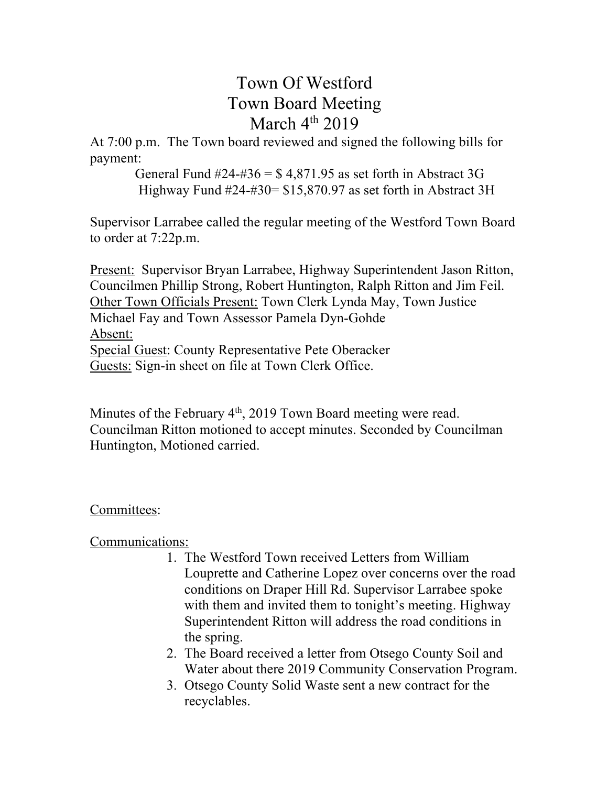## Town Of Westford Town Board Meeting March  $4<sup>th</sup>$  2019

At 7:00 p.m. The Town board reviewed and signed the following bills for payment:

> General Fund  $\#24-\#36 = $4,871.95$  as set forth in Abstract 3G Highway Fund #24-#30= \$15,870.97 as set forth in Abstract 3H

Supervisor Larrabee called the regular meeting of the Westford Town Board to order at 7:22p.m.

Present: Supervisor Bryan Larrabee, Highway Superintendent Jason Ritton, Councilmen Phillip Strong, Robert Huntington, Ralph Ritton and Jim Feil. Other Town Officials Present: Town Clerk Lynda May, Town Justice Michael Fay and Town Assessor Pamela Dyn-Gohde Absent: Special Guest: County Representative Pete Oberacker Guests: Sign-in sheet on file at Town Clerk Office.

Minutes of the February 4<sup>th</sup>, 2019 Town Board meeting were read. Councilman Ritton motioned to accept minutes. Seconded by Councilman Huntington, Motioned carried.

## Committees:

Communications:

- 1. The Westford Town received Letters from William Louprette and Catherine Lopez over concerns over the road conditions on Draper Hill Rd. Supervisor Larrabee spoke with them and invited them to tonight's meeting. Highway Superintendent Ritton will address the road conditions in the spring.
- 2. The Board received a letter from Otsego County Soil and Water about there 2019 Community Conservation Program.
- 3. Otsego County Solid Waste sent a new contract for the recyclables.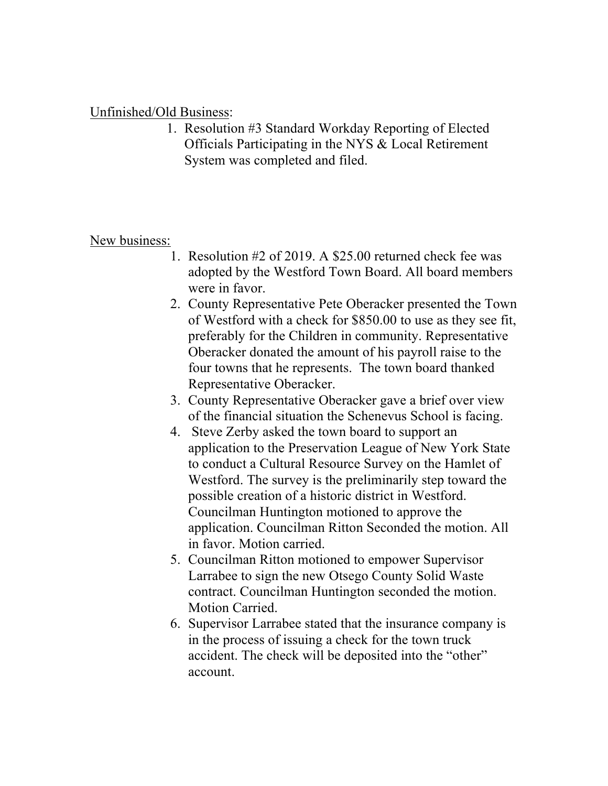## Unfinished/Old Business:

1. Resolution #3 Standard Workday Reporting of Elected Officials Participating in the NYS & Local Retirement System was completed and filed.

## New business:

- 1. Resolution #2 of 2019. A \$25.00 returned check fee was adopted by the Westford Town Board. All board members were in favor.
- 2. County Representative Pete Oberacker presented the Town of Westford with a check for \$850.00 to use as they see fit, preferably for the Children in community. Representative Oberacker donated the amount of his payroll raise to the four towns that he represents. The town board thanked Representative Oberacker.
- 3. County Representative Oberacker gave a brief over view of the financial situation the Schenevus School is facing.
- 4. Steve Zerby asked the town board to support an application to the Preservation League of New York State to conduct a Cultural Resource Survey on the Hamlet of Westford. The survey is the preliminarily step toward the possible creation of a historic district in Westford. Councilman Huntington motioned to approve the application. Councilman Ritton Seconded the motion. All in favor. Motion carried.
- 5. Councilman Ritton motioned to empower Supervisor Larrabee to sign the new Otsego County Solid Waste contract. Councilman Huntington seconded the motion. Motion Carried.
- 6. Supervisor Larrabee stated that the insurance company is in the process of issuing a check for the town truck accident. The check will be deposited into the "other" account.